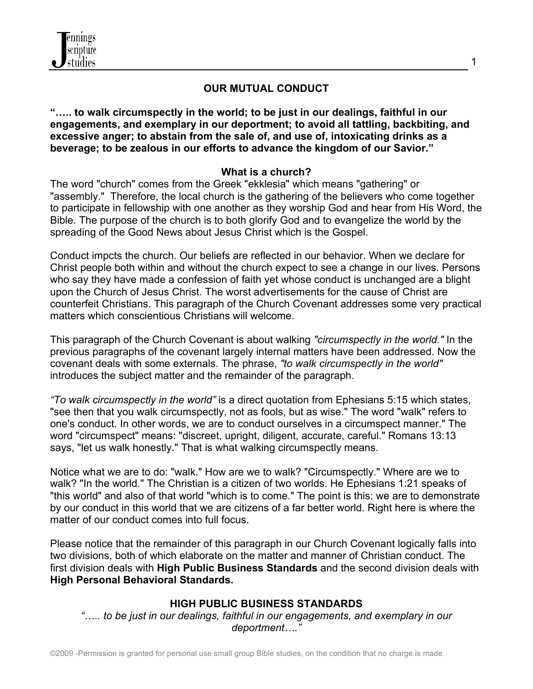# **OUR MUTUAL CONDUCT**

**"….. to walk circumspectly in the world; to be just in our dealings, faithful in our engagements, and exemplary in our deportment; to avoid all tattling, backbiting, and excessive anger; to abstain from the sale of, and use of, intoxicating drinks as a beverage; to be zealous in our efforts to advance the kingdom of our Savior."**

### **What is a church?**

The word "church" comes from the Greek "ekklesia" which means "gathering" or "assembly." Therefore, the local church is the gathering of the believers who come together to participate in fellowship with one another as they worship God and hear from His Word, the Bible. The purpose of the church is to both glorify God and to evangelize the world by the spreading of the Good News about Jesus Christ which is the Gospel.

Conduct impcts the church. Our beliefs are reflected in our behavior. When we declare for Christ people both within and without the church expect to see a change in our lives. Persons who say they have made a confession of faith yet whose conduct is unchanged are a blight upon the Church of Jesus Christ. The worst advertisements for the cause of Christ are counterfeit Christians. This paragraph of the Church Covenant addresses some very practical matters which conscientious Christians will welcome.

This paragraph of the Church Covenant is about walking *"circumspectly in the world."* In the previous paragraphs of the covenant largely internal matters have been addressed. Now the covenant deals with some externals. The phrase, *"to walk circumspectly in the world"* introduces the subject matter and the remainder of the paragraph.

*"To walk circumspectly in the world"* is a direct quotation from Ephesians 5:15 which states, "see then that you walk circumspectly, not as fools, but as wise." The word "walk" refers to one's conduct. In other words, we are to conduct ourselves in a circumspect manner." The word "circumspect" means: "discreet, upright, diligent, accurate, careful." Romans 13:13 says, "let us walk honestly." That is what walking circumspectly means.

Notice what we are to do: "walk." How are we to walk? "Circumspectly." Where are we to walk? "In the world." The Christian is a citizen of two worlds. He Ephesians 1:21 speaks of "this world" and also of that world "which is to come." The point is this: we are to demonstrate by our conduct in this world that we are citizens of a far better world. Right here is where the matter of our conduct comes into full focus.

Please notice that the remainder of this paragraph in our Church Covenant logically falls into two divisions, both of which elaborate on the matter and manner of Christian conduct. The first division deals with **High Public Business Standards** and the second division deals with **High Personal Behavioral Standards.**

### **HIGH PUBLIC BUSINESS STANDARDS**

*"….. to be just in our dealings, faithful in our engagements, and exemplary in our deportment…."*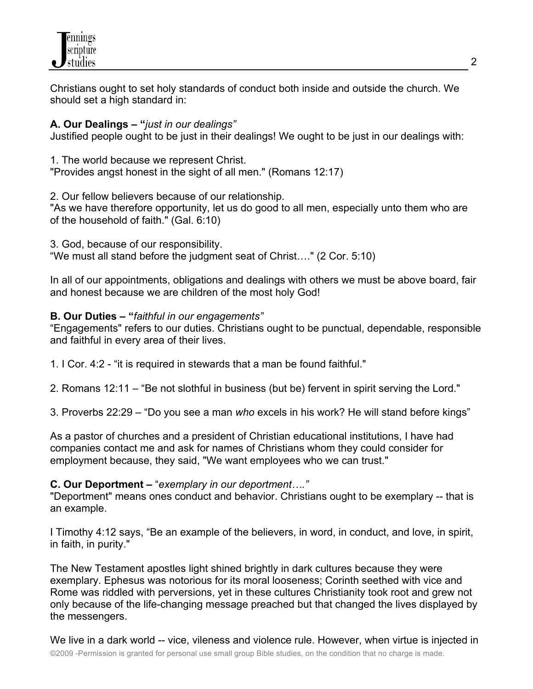

Christians ought to set holy standards of conduct both inside and outside the church. We should set a high standard in:

### **A. Our Dealings – "***just in our dealings"*

Justified people ought to be just in their dealings! We ought to be just in our dealings with:

1. The world because we represent Christ. "Provides angst honest in the sight of all men." (Romans 12:17)

2. Our fellow believers because of our relationship.

"As we have therefore opportunity, let us do good to all men, especially unto them who are of the household of faith." (Gal. 6:10)

3. God, because of our responsibility. "We must all stand before the judgment seat of Christ…." (2 Cor. 5:10)

In all of our appointments, obligations and dealings with others we must be above board, fair and honest because we are children of the most holy God!

### **B. Our Duties – "***faithful in our engagements"*

"Engagements" refers to our duties. Christians ought to be punctual, dependable, responsible and faithful in every area of their lives.

1. I Cor. 4:2 - "it is required in stewards that a man be found faithful."

2. Romans 12:11 – "Be not slothful in business (but be) fervent in spirit serving the Lord."

3. Proverbs 22:29 – "Do you see a man *who* excels in his work? He will stand before kings"

As a pastor of churches and a president of Christian educational institutions, I have had companies contact me and ask for names of Christians whom they could consider for employment because, they said, "We want employees who we can trust."

#### **C. Our Deportment –** "*exemplary in our deportment…."*

"Deportment" means ones conduct and behavior. Christians ought to be exemplary -- that is an example.

I Timothy 4:12 says, "Be an example of the believers, in word, in conduct, and love, in spirit, in faith, in purity."

The New Testament apostles light shined brightly in dark cultures because they were exemplary. Ephesus was notorious for its moral looseness; Corinth seethed with vice and Rome was riddled with perversions, yet in these cultures Christianity took root and grew not only because of the life-changing message preached but that changed the lives displayed by the messengers.

©2009 -Permission is granted for personal use small group Bible studies, on the condition that no charge is made. We live in a dark world -- vice, vileness and violence rule. However, when virtue is injected in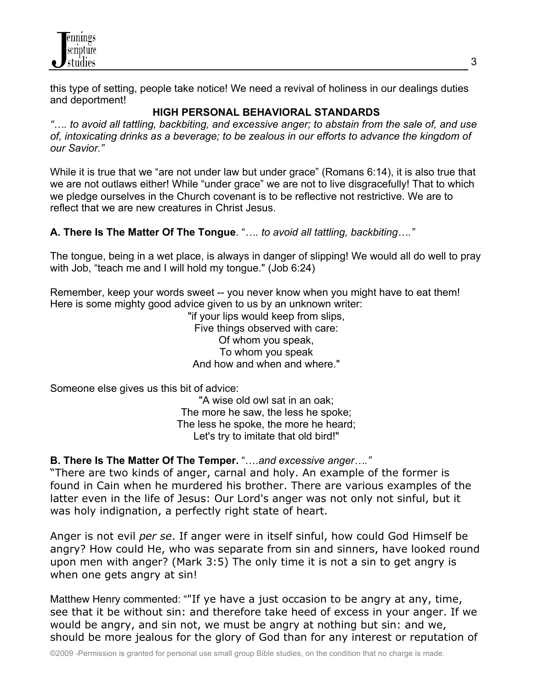

this type of setting, people take notice! We need a revival of holiness in our dealings duties and deportment!

## **HIGH PERSONAL BEHAVIORAL STANDARDS**

*"…. to avoid all tattling, backbiting, and excessive anger; to abstain from the sale of, and use of, intoxicating drinks as a beverage; to be zealous in our efforts to advance the kingdom of our Savior."*

While it is true that we "are not under law but under grace" (Romans 6:14), it is also true that we are not outlaws either! While "under grace" we are not to live disgracefully! That to which we pledge ourselves in the Church covenant is to be reflective not restrictive. We are to reflect that we are new creatures in Christ Jesus.

### **A. There Is The Matter Of The Tongue**. "*…. to avoid all tattling, backbiting…."*

The tongue, being in a wet place, is always in danger of slipping! We would all do well to pray with Job, "teach me and I will hold my tongue." (Job 6:24)

Remember, keep your words sweet -- you never know when you might have to eat them! Here is some mighty good advice given to us by an unknown writer:

> "if your lips would keep from slips, Five things observed with care: Of whom you speak, To whom you speak And how and when and where."

Someone else gives us this bit of advice:

"A wise old owl sat in an oak; The more he saw, the less he spoke; The less he spoke, the more he heard; Let's try to imitate that old bird!"

#### **B. There Is The Matter Of The Temper.** "….*and excessive anger…."*

"There are two kinds of anger, carnal and holy. An example of the former is found in Cain when he murdered his brother. There are various examples of the latter even in the life of Jesus: Our Lord's anger was not only not sinful, but it was holy indignation, a perfectly right state of heart.

Anger is not evil *per se*. If anger were in itself sinful, how could God Himself be angry? How could He, who was separate from sin and sinners, have looked round upon men with anger? (Mark 3:5) The only time it is not a sin to get angry is when one gets angry at sin!

Matthew Henry commented: ""If ye have a just occasion to be angry at any, time, see that it be without sin: and therefore take heed of excess in your anger. If we would be angry, and sin not, we must be angry at nothing but sin: and we, should be more jealous for the glory of God than for any interest or reputation of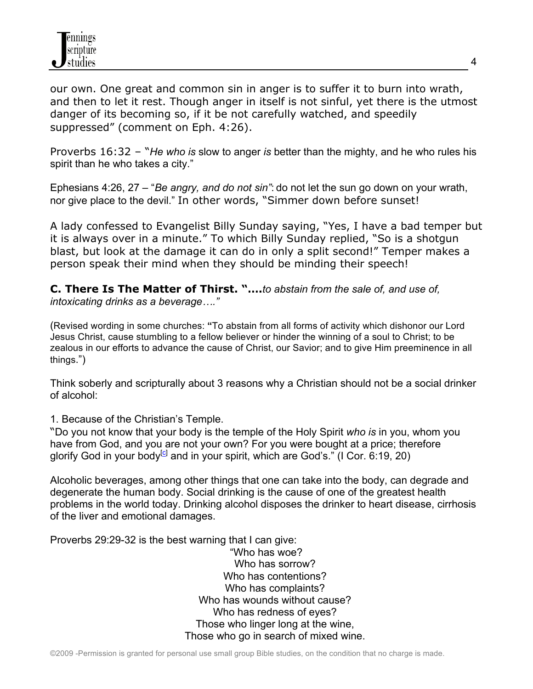our own. One great and common sin in anger is to suffer it to burn into wrath, and then to let it rest. Though anger in itself is not sinful, yet there is the utmost danger of its becoming so, if it be not carefully watched, and speedily suppressed" (comment on Eph. 4:26).

Proverbs 16:32 – "*He who is* slow to anger *is* better than the mighty, and he who rules his spirit than he who takes a city."

Ephesians 4:26, 27 – "*Be angry, and do not sin"*: do not let the sun go down on your wrath, nor give place to the devil." In other words, "Simmer down before sunset!

A lady confessed to Evangelist Billy Sunday saying, "Yes, I have a bad temper but it is always over in a minute." To which Billy Sunday replied, "So is a shotgun blast, but look at the damage it can do in only a split second!" Temper makes a person speak their mind when they should be minding their speech!

**C. There Is The Matter of Thirst. "….***to abstain from the sale of, and use of, intoxicating drinks as a beverage…."*

(Revised wording in some churches: **"**To abstain from all forms of activity which dishonor our Lord Jesus Christ, cause stumbling to a fellow believer or hinder the winning of a soul to Christ; to be zealous in our efforts to advance the cause of Christ, our Savior; and to give Him preeminence in all things.")

Think soberly and scripturally about 3 reasons why a Christian should not be a social drinker of alcohol:

1. Because of the Christian's Temple.

"Do you not know that your body is the temple of the Holy Spirit *who is* in you, whom you have from God, and you are not your own? For you were bought at a price; therefore glorify God in your body<sup>[c]</sup> and in your spirit, which are God's." (I Cor. 6:19, 20)

Alcoholic beverages, among other things that one can take into the body, can degrade and degenerate the human body. Social drinking is the cause of one of the greatest health problems in the world today. Drinking alcohol disposes the drinker to heart disease, cirrhosis of the liver and emotional damages.

Proverbs 29:29-32 is the best warning that I can give:

"Who has woe? Who has sorrow? Who has contentions? Who has complaints? Who has wounds without cause? Who has redness of eyes? Those who linger long at the wine, Those who go in search of mixed wine.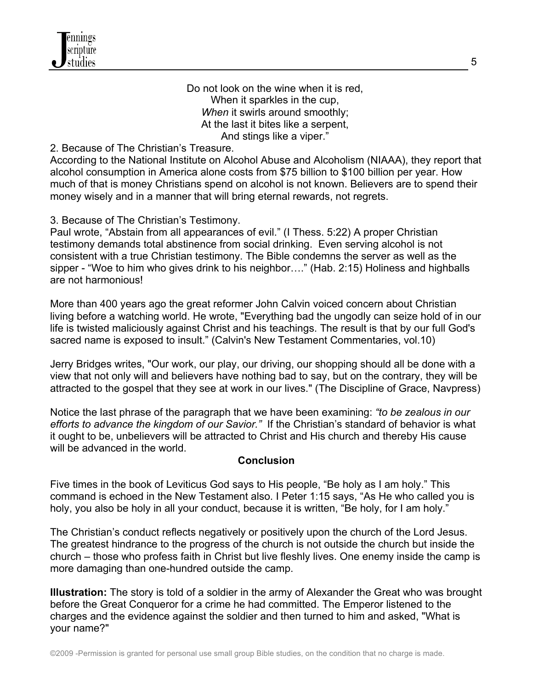Do not look on the wine when it is red, When it sparkles in the cup, *When* it swirls around smoothly; At the last it bites like a serpent, And stings like a viper."

### 2. Because of The Christian's Treasure.

According to the National Institute on Alcohol Abuse and Alcoholism (NIAAA), they report that alcohol consumption in America alone costs from \$75 billion to \$100 billion per year. How much of that is money Christians spend on alcohol is not known. Believers are to spend their money wisely and in a manner that will bring eternal rewards, not regrets.

#### 3. Because of The Christian's Testimony.

Paul wrote, "Abstain from all appearances of evil." (I Thess. 5:22) A proper Christian testimony demands total abstinence from social drinking. Even serving alcohol is not consistent with a true Christian testimony. The Bible condemns the server as well as the sipper - "Woe to him who gives drink to his neighbor…." (Hab. 2:15) Holiness and highballs are not harmonious!

More than 400 years ago the great reformer John Calvin voiced concern about Christian living before a watching world. He wrote, "Everything bad the ungodly can seize hold of in our life is twisted maliciously against Christ and his teachings. The result is that by our full God's sacred name is exposed to insult." (Calvin's New Testament Commentaries, vol.10)

Jerry Bridges writes, "Our work, our play, our driving, our shopping should all be done with a view that not only will and believers have nothing bad to say, but on the contrary, they will be attracted to the gospel that they see at work in our lives." (The Discipline of Grace, Navpress)

Notice the last phrase of the paragraph that we have been examining: *"to be zealous in our efforts to advance the kingdom of our Savior."* If the Christian's standard of behavior is what it ought to be, unbelievers will be attracted to Christ and His church and thereby His cause will be advanced in the world.

#### **Conclusion**

Five times in the book of Leviticus God says to His people, "Be holy as I am holy." This command is echoed in the New Testament also. I Peter 1:15 says, "As He who called you is holy, you also be holy in all your conduct, because it is written, "Be holy, for I am holy."

The Christian's conduct reflects negatively or positively upon the church of the Lord Jesus. The greatest hindrance to the progress of the church is not outside the church but inside the church – those who profess faith in Christ but live fleshly lives. One enemy inside the camp is more damaging than one-hundred outside the camp.

**Illustration:** The story is told of a soldier in the army of Alexander the Great who was brought before the Great Conqueror for a crime he had committed. The Emperor listened to the charges and the evidence against the soldier and then turned to him and asked, "What is your name?"